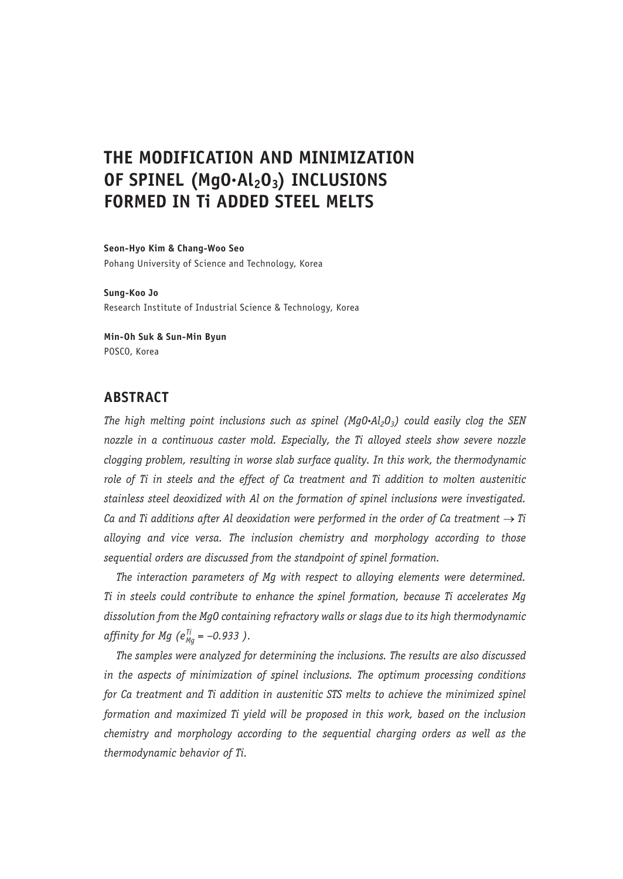# **THE MODIFICATION AND MINIMIZATION**  OF SPINEL (MgO·Al<sub>2</sub>O<sub>3</sub>) INCLUSIONS **FORMED IN Ti ADDED STEEL MELTS**

**Seon-Hyo Kim & Chang-Woo Seo** Pohang University of Science and Technology, Korea

**Sung-Koo Jo** Research Institute of Industrial Science & Technology, Korea

**Min-Oh Suk & Sun-Min Byun** POSCO, Korea

# **ABSTRACT**

*The high melting point inclusions such as spinel (MgO***.***Al2O3) could easily clog the SEN nozzle in a continuous caster mold. Especially, the Ti alloyed steels show severe nozzle clogging problem, resulting in worse slab surface quality. In this work, the thermodynamic role of Ti in steels and the effect of Ca treatment and Ti addition to molten austenitic stainless steel deoxidized with Al on the formation of spinel inclusions were investigated. Ca and Ti additions after Al deoxidation were performed in the order of Ca treatment*  $\rightarrow$  *Ti alloying and vice versa. The inclusion chemistry and morphology according to those sequential orders are discussed from the standpoint of spinel formation.*

*The interaction parameters of Mg with respect to alloying elements were determined. Ti in steels could contribute to enhance the spinel formation, because Ti accelerates Mg dissolution from the MgO containing refractory walls or slags due to its high thermodynamic affinity for Mg (eTi Mg = –0.933 ).*

*The samples were analyzed for determining the inclusions. The results are also discussed in the aspects of minimization of spinel inclusions. The optimum processing conditions for Ca treatment and Ti addition in austenitic STS melts to achieve the minimized spinel formation and maximized Ti yield will be proposed in this work, based on the inclusion chemistry and morphology according to the sequential charging orders as well as the thermodynamic behavior of Ti.*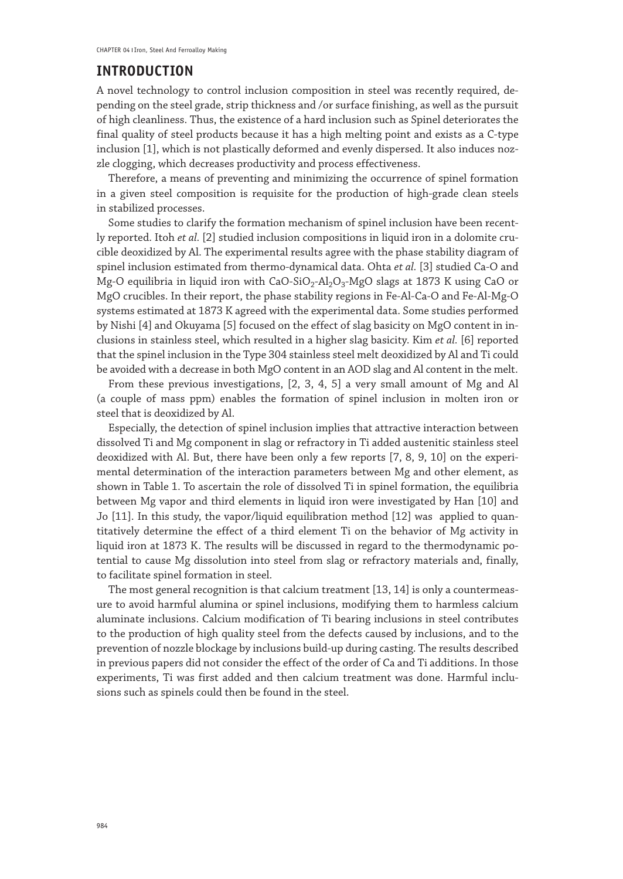#### **INTRODUCTION**

A novel technology to control inclusion composition in steel was recently required, depending on the steel grade, strip thickness and /or surface finishing, as well as the pursuit of high cleanliness. Thus, the existence of a hard inclusion such as Spinel deteriorates the final quality of steel products because it has a high melting point and exists as a C-type inclusion [1], which is not plastically deformed and evenly dispersed. It also induces nozzle clogging, which decreases productivity and process effectiveness.

Therefore, a means of preventing and minimizing the occurrence of spinel formation in a given steel composition is requisite for the production of high-grade clean steels in stabilized processes.

Some studies to clarify the formation mechanism of spinel inclusion have been recently reported. Itoh *et al.* [2] studied inclusion compositions in liquid iron in a dolomite crucible deoxidized by Al. The experimental results agree with the phase stability diagram of spinel inclusion estimated from thermo-dynamical data. Ohta *et al.* [3] studied Ca-O and Mg-O equilibria in liquid iron with CaO-SiO<sub>2</sub>-Al<sub>2</sub>O<sub>3</sub>-MgO slags at 1873 K using CaO or MgO crucibles. In their report, the phase stability regions in Fe-Al-Ca-O and Fe-Al-Mg-O systems estimated at 1873 K agreed with the experimental data. Some studies performed by Nishi [4] and Okuyama [5] focused on the effect of slag basicity on MgO content in inclusions in stainless steel, which resulted in a higher slag basicity. Kim *et al.* [6] reported that the spinel inclusion in the Type 304 stainless steel melt deoxidized by Al and Ti could be avoided with a decrease in both MgO content in an AOD slag and Al content in the melt.

From these previous investigations, [2, 3, 4, 5] a very small amount of Mg and Al (a couple of mass ppm) enables the formation of spinel inclusion in molten iron or steel that is deoxidized by Al.

Especially, the detection of spinel inclusion implies that attractive interaction between dissolved Ti and Mg component in slag or refractory in Ti added austenitic stainless steel deoxidized with Al. But, there have been only a few reports [7, 8, 9, 10] on the experimental determination of the interaction parameters between Mg and other element, as shown in Table 1. To ascertain the role of dissolved Ti in spinel formation, the equilibria between Mg vapor and third elements in liquid iron were investigated by Han [10] and Jo [11]. In this study, the vapor/liquid equilibration method [12] was applied to quantitatively determine the effect of a third element Ti on the behavior of Mg activity in liquid iron at 1873 K. The results will be discussed in regard to the thermodynamic potential to cause Mg dissolution into steel from slag or refractory materials and, finally, to facilitate spinel formation in steel.

The most general recognition is that calcium treatment [13, 14] is only a countermeasure to avoid harmful alumina or spinel inclusions, modifying them to harmless calcium aluminate inclusions. Calcium modification of Ti bearing inclusions in steel contributes to the production of high quality steel from the defects caused by inclusions, and to the prevention of nozzle blockage by inclusions build-up during casting. The results described in previous papers did not consider the effect of the order of Ca and Ti additions. In those experiments, Ti was first added and then calcium treatment was done. Harmful inclusions such as spinels could then be found in the steel.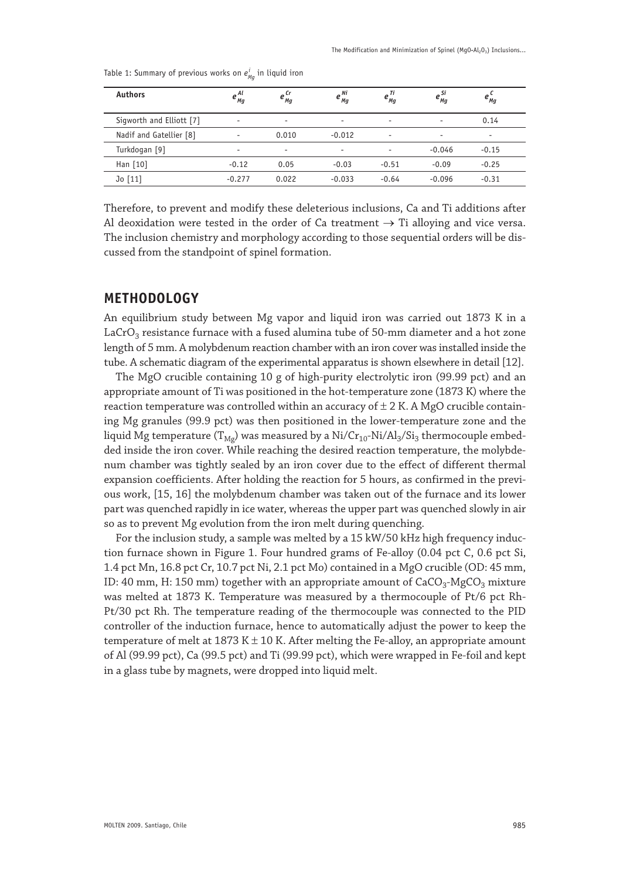| <b>Authors</b>           | $e^{Al}$<br>Mq           | $e_{_{\it Mg}}^{\it Cr}$ | $e^{Ni}_{Mg}$            | $e_{_{Mg}}^{\cdots}$     | $e_{_{\it Mg}}^{\it Si}$ | $e_{Mg}^{\mu}$           |
|--------------------------|--------------------------|--------------------------|--------------------------|--------------------------|--------------------------|--------------------------|
| Sigworth and Elliott [7] | $\overline{\phantom{a}}$ | $\overline{\phantom{a}}$ | $\overline{\phantom{a}}$ | ٠                        | ۰                        | 0.14                     |
| Nadif and Gatellier [8]  | $\overline{\phantom{a}}$ | 0.010                    | $-0.012$                 | $\overline{\phantom{a}}$ | $\overline{\phantom{a}}$ | $\overline{\phantom{a}}$ |
| Turkdogan [9]            | $\overline{\phantom{a}}$ | $\overline{\phantom{a}}$ | ۰                        | $\overline{\phantom{a}}$ | $-0.046$                 | $-0.15$                  |
| Han $\lceil 10 \rceil$   | $-0.12$                  | 0.05                     | $-0.03$                  | $-0.51$                  | $-0.09$                  | $-0.25$                  |
| Jo[11]                   | $-0.277$                 | 0.022                    | $-0.033$                 | $-0.64$                  | $-0.096$                 | $-0.31$                  |

Table 1: Summary of previous works on  $e_{_{\mathit{Mg}}}^{_{j}}$  in liquid iron

Therefore, to prevent and modify these deleterious inclusions, Ca and Ti additions after Al deoxidation were tested in the order of Ca treatment  $\rightarrow$  Ti alloying and vice versa. The inclusion chemistry and morphology according to those sequential orders will be discussed from the standpoint of spinel formation.

# **METHODOLOGY**

An equilibrium study between Mg vapor and liquid iron was carried out 1873 K in a  $LaCrO<sub>3</sub>$  resistance furnace with a fused alumina tube of 50-mm diameter and a hot zone length of 5 mm. A molybdenum reaction chamber with an iron cover was installed inside the tube. A schematic diagram of the experimental apparatus is shown elsewhere in detail [12].

The MgO crucible containing 10 g of high-purity electrolytic iron (99.99 pct) and an appropriate amount of Ti was positioned in the hot-temperature zone (1873 K) where the reaction temperature was controlled within an accuracy of  $\pm$  2 K. A MgO crucible containing Mg granules (99.9 pct) was then positioned in the lower-temperature zone and the liquid Mg temperature (T<sub>Mg</sub>) was measured by a Ni/Cr<sub>10</sub>-Ni/Al<sub>3</sub>/Si<sub>3</sub> thermocouple embedded inside the iron cover. While reaching the desired reaction temperature, the molybdenum chamber was tightly sealed by an iron cover due to the effect of different thermal expansion coefficients. After holding the reaction for 5 hours, as confirmed in the previous work, [15, 16] the molybdenum chamber was taken out of the furnace and its lower part was quenched rapidly in ice water, whereas the upper part was quenched slowly in air so as to prevent Mg evolution from the iron melt during quenching.

For the inclusion study, a sample was melted by a 15 kW/50 kHz high frequency induction furnace shown in Figure 1. Four hundred grams of Fe-alloy (0.04 pct C, 0.6 pct Si, 1.4 pct Mn, 16.8 pct Cr, 10.7 pct Ni, 2.1 pct Mo) contained in a MgO crucible (OD: 45 mm, ID: 40 mm, H: 150 mm) together with an appropriate amount of  $CaCO<sub>3</sub>-MgCO<sub>3</sub>$  mixture was melted at 1873 K. Temperature was measured by a thermocouple of Pt/6 pct Rh-Pt/30 pct Rh. The temperature reading of the thermocouple was connected to the PID controller of the induction furnace, hence to automatically adjust the power to keep the temperature of melt at 1873 K  $\pm$  10 K. After melting the Fe-alloy, an appropriate amount of Al (99.99 pct), Ca (99.5 pct) and Ti (99.99 pct), which were wrapped in Fe-foil and kept in a glass tube by magnets, were dropped into liquid melt.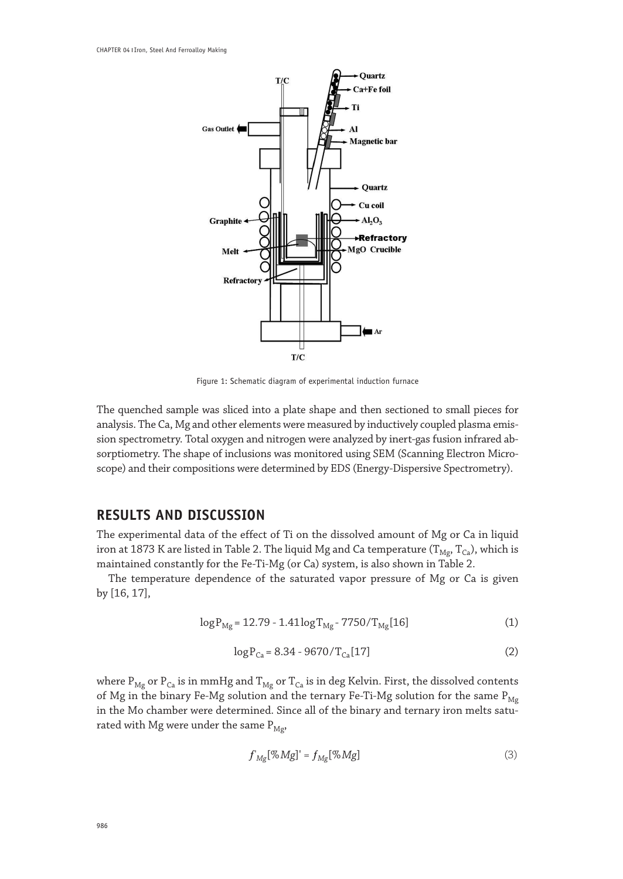

Figure 1: Schematic diagram of experimental induction furnace

The quenched sample was sliced into a plate shape and then sectioned to small pieces for analysis. The Ca, Mg and other elements were measured by inductively coupled plasma emission spectrometry. Total oxygen and nitrogen were analyzed by inert-gas fusion infrared absorptiometry. The shape of inclusions was monitored using SEM (Scanning Electron Microscope) and their compositions were determined by EDS (Energy-Dispersive Spectrometry).

## **RESULTS AND DISCUSSION**

The experimental data of the effect of Ti on the dissolved amount of Mg or Ca in liquid iron at 1873 K are listed in Table 2. The liquid Mg and Ca temperature ( $T_{Mg}$ ,  $T_{Ca}$ ), which is maintained constantly for the Fe-Ti-Mg (or Ca) system, is also shown in Table 2.

The temperature dependence of the saturated vapor pressure of Mg or Ca is given by [16, 17],

$$
\log P_{\text{Mg}} = 12.79 - 1.41 \log T_{\text{Mg}} - 7750 / T_{\text{Mg}}[16] \tag{1}
$$

$$
\log P_{Ca} = 8.34 - 9670 / T_{Ca}[17]
$$
 (2)

where  $P_{Mg}$  or  $P_{Ca}$  is in mmHg and  $T_{Mg}$  or  $T_{Ca}$  is in deg Kelvin. First, the dissolved contents of Mg in the binary Fe-Mg solution and the ternary Fe-Ti-Mg solution for the same  $P_{Mg}$ in the Mo chamber were determined. Since all of the binary and ternary iron melts saturated with Mg were under the same  $P_{Mg}$ ,

$$
f'_{Mg}[\%Mg]' = f_{Mg}[\%Mg]
$$
 (3)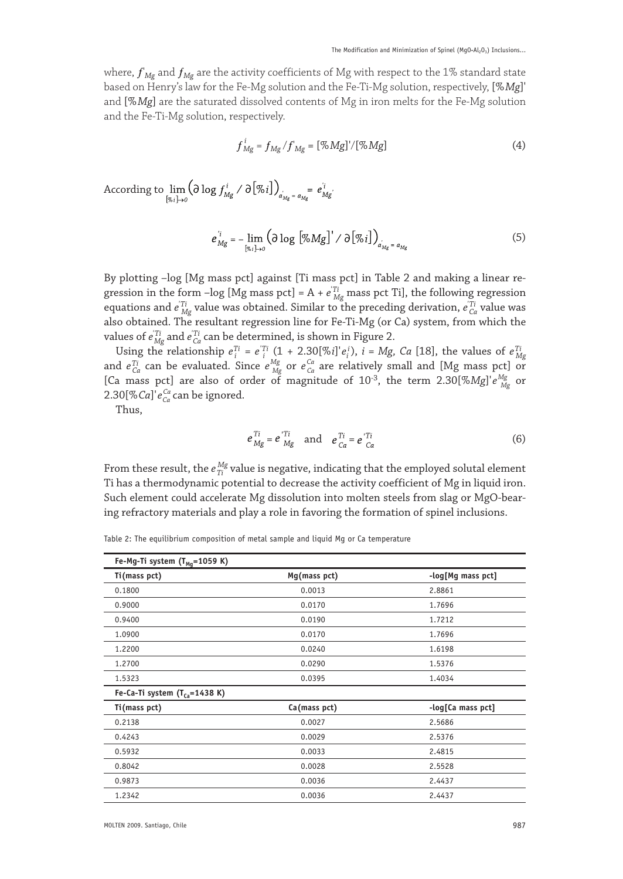where,  ${f^{\prime}}_{Mg}$  and  ${f_{Mg}}$  are the activity coefficients of Mg with respect to the 1% standard state based on Henry's law for the Fe-Mg solution and the Fe-Ti-Mg solution, respectively, [%*Mg*]' and [%*Mg*] are the saturated dissolved contents of Mg in iron melts for the Fe-Mg solution and the Fe-Ti-Mg solution, respectively.

$$
f_{Mg}^{i} = f_{Mg} / f_{Mg} = \left[ \% \, Mg \right] / \left[ \% \, Mg \right] \tag{4}
$$

According to 
$$
\lim_{[x_i] \to 0} (\partial \log f_{Mg}^i / \partial [\%i])_{a_{Mg}^i = a_{Mg}^i} = e_{Mg}^i
$$
.

$$
e_{Mg}^{i} = -\lim_{\left[\%i\right] \to 0} \left(\partial \log \left[\%Mg\right]^{i} / \partial \left[\%i\right]\right)_{a_{Mg} = a_{Mg}}\tag{5}
$$

By plotting –log [Mg mass pct] against [Ti mass pct] in Table 2 and making a linear regression in the form –log [Mg mass pct] =  $A + e^{T i}_{Mg}$  mass pct Ti], the following regression equations and *e'Ti Mg* value was obtained. Similar to the preceding derivation, *e'Ti Ca* value was also obtained. The resultant regression line for Fe-Ti-Mg (or Ca) system, from which the values of  $e_{Mg}^{Ti}$  and  $e_{Ca}^{Ti}$  can be determined, is shown in Figure 2.

Using the relationship  $e_i^{Ti} = e_i^{Ti} (1 + 2.30[\% i] \cdot e_i^i)$ ,  $i = Mg$ , *Ca* [18], the values of  $e_{Mg}^{Ti}$  and  $e_{Ca}^{Ti}$  can be evaluated. Since  $e_{Mg}^{Mg}$  or  $e_{Ca}^{Ca}$  are relatively small and [Mg mass pct] or [Ca mass pct] are also of order of magnitude of  $10^{-3}$ , the term  $2.30[\%Mg]'e^{Mg}_{Mg}$  or 2.30[%*Ca*]'*eCa Ca* can be ignored.

Thus,

$$
e_{Mg}^{Ti} = e_{Mg}^{Ti} \quad \text{and} \quad e_{Ca}^{Ti} = e_{Ca}^{Ti} \tag{6}
$$

From these result, the  $e_{Ti}^{Mg}$  value is negative, indicating that the employed solutal element Ti has a thermodynamic potential to decrease the activity coefficient of Mg in liquid iron. Such element could accelerate Mg dissolution into molten steels from slag or MgO-bearing refractory materials and play a role in favoring the formation of spinel inclusions.

Table 2: The equilibrium composition of metal sample and liquid Mg or Ca temperature

| Fe-Mg-Ti system (T <sub>Mq</sub> =1059 K)   |              |                   |
|---------------------------------------------|--------------|-------------------|
| Ti(mass pct)                                | Mg(mass pct) | -log[Mg mass pct] |
| 0.1800                                      | 0.0013       | 2.8861            |
| 0.9000                                      | 0.0170       | 1.7696            |
| 0.9400                                      | 0.0190       | 1.7212            |
| 1.0900                                      | 0.0170       | 1.7696            |
| 1.2200                                      | 0.0240       | 1.6198            |
| 1.2700                                      | 0.0290       | 1.5376            |
| 1.5323                                      | 0.0395       | 1.4034            |
| Fe-Ca-Ti system $(T_{Ca} = 1438 \text{ K})$ |              |                   |
| Ti(mass pct)                                | Ca(mass pct) | -log[Ca mass pct] |
| 0.2138                                      | 0.0027       | 2.5686            |
| 0.4243                                      | 0.0029       | 2.5376            |
| 0.5932                                      | 0.0033       | 2.4815            |
| 0.8042                                      | 0.0028       | 2.5528            |
| 0.9873                                      | 0.0036       | 2.4437            |
| 1.2342                                      | 0.0036       | 2.4437            |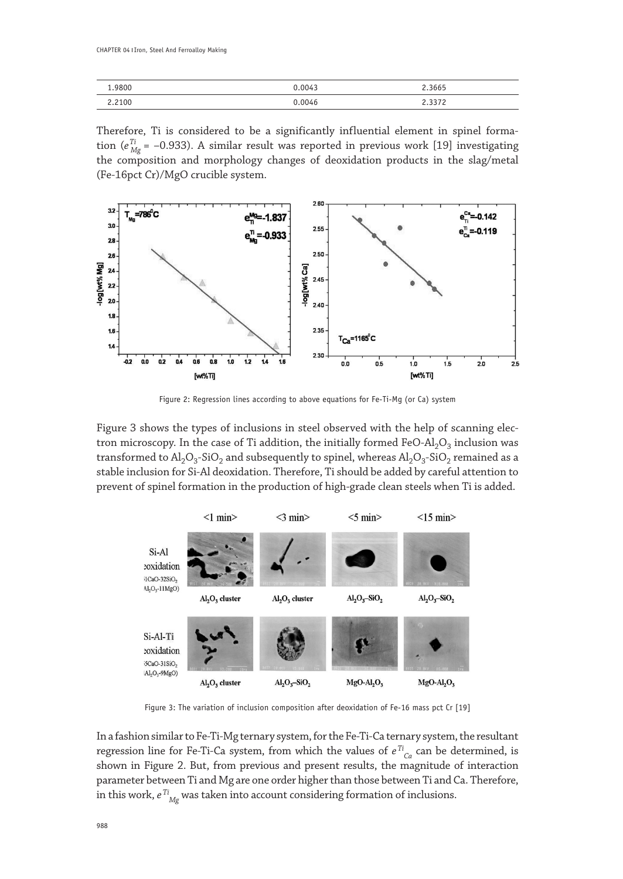| 9800 | በ በበፈ3 | 2.3665 |
|------|--------|--------|
| 210f | N 0046 |        |

Therefore, Ti is considered to be a significantly influential element in spinel formation ( $e_{Mg}^{Ti}$  = –0.933). A similar result was reported in previous work [19] investigating the composition and morphology changes of deoxidation products in the slag/metal (Fe-16pct Cr)/MgO crucible system.



Figure 2: Regression lines according to above equations for Fe-Ti-Mg (or Ca) system

Figure 3 shows the types of inclusions in steel observed with the help of scanning electron microscopy. In the case of Ti addition, the initially formed FeO-Al<sub>2</sub>O<sub>3</sub> inclusion was transformed to  $Al_2O_3$ -SiO<sub>2</sub> and subsequently to spinel, whereas  $Al_2O_3$ -SiO<sub>2</sub> remained as a stable inclusion for Si-Al deoxidation. Therefore, Ti should be added by careful attention to prevent of spinel formation in the production of high-grade clean steels when Ti is added.



Figure 3: The variation of inclusion composition after deoxidation of Fe-16 mass pct Cr [19]

In a fashion similar to Fe-Ti-Mg ternary system, for the Fe-Ti-Ca ternary system, the resultant regression line for Fe-Ti-Ca system, from which the values of  $e^{T i}_{\;\;Ca}$  can be determined, is shown in Figure 2. But, from previous and present results, the magnitude of interaction parameter between Ti and Mg are one order higher than those between Ti and Ca. Therefore, in this work,  $e^{T i}_{\,\,\, Mg}$  was taken into account considering formation of inclusions.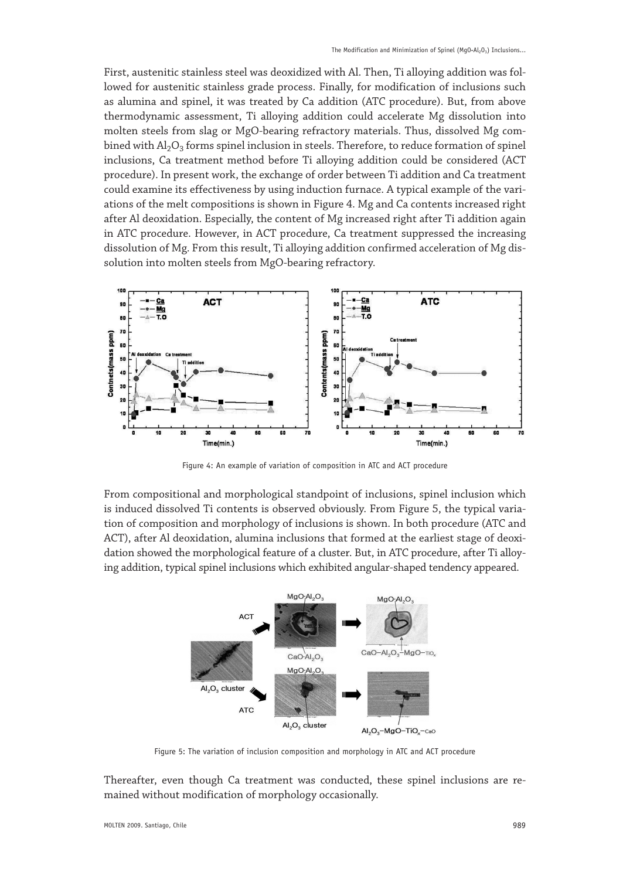First, austenitic stainless steel was deoxidized with Al. Then, Ti alloying addition was followed for austenitic stainless grade process. Finally, for modification of inclusions such as alumina and spinel, it was treated by Ca addition (ATC procedure). But, from above thermodynamic assessment, Ti alloying addition could accelerate Mg dissolution into molten steels from slag or MgO-bearing refractory materials. Thus, dissolved Mg combined with  $\text{Al}_2\text{O}_3$  forms spinel inclusion in steels. Therefore, to reduce formation of spinel inclusions, Ca treatment method before Ti alloying addition could be considered (ACT procedure). In present work, the exchange of order between Ti addition and Ca treatment could examine its effectiveness by using induction furnace. A typical example of the variations of the melt compositions is shown in Figure 4. Mg and Ca contents increased right after Al deoxidation. Especially, the content of Mg increased right after Ti addition again in ATC procedure. However, in ACT procedure, Ca treatment suppressed the increasing dissolution of Mg. From this result, Ti alloying addition confirmed acceleration of Mg dissolution into molten steels from MgO-bearing refractory.



Figure 4: An example of variation of composition in ATC and ACT procedure

From compositional and morphological standpoint of inclusions, spinel inclusion which is induced dissolved Ti contents is observed obviously. From Figure 5, the typical variation of composition and morphology of inclusions is shown. In both procedure (ATC and ACT), after Al deoxidation, alumina inclusions that formed at the earliest stage of deoxidation showed the morphological feature of a cluster. But, in ATC procedure, after Ti alloying addition, typical spinel inclusions which exhibited angular-shaped tendency appeared.



Figure 5: The variation of inclusion composition and morphology in ATC and ACT procedure

Thereafter, even though Ca treatment was conducted, these spinel inclusions are remained without modification of morphology occasionally.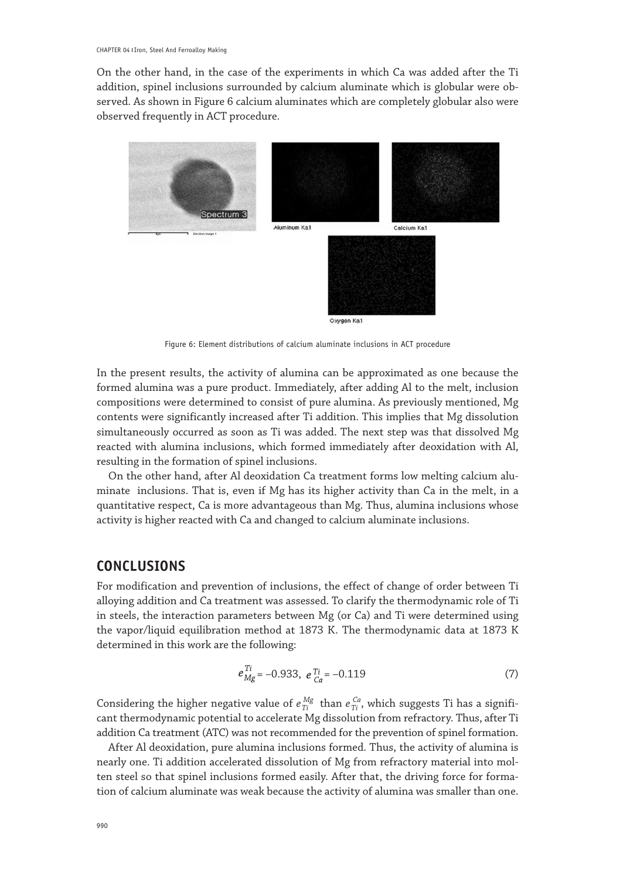On the other hand, in the case of the experiments in which Ca was added after the Ti addition, spinel inclusions surrounded by calcium aluminate which is globular were observed. As shown in Figure 6 calcium aluminates which are completely globular also were observed frequently in ACT procedure.



Figure 6: Element distributions of calcium aluminate inclusions in ACT procedure

In the present results, the activity of alumina can be approximated as one because the formed alumina was a pure product. Immediately, after adding Al to the melt, inclusion compositions were determined to consist of pure alumina. As previously mentioned, Mg contents were significantly increased after Ti addition. This implies that Mg dissolution simultaneously occurred as soon as Ti was added. The next step was that dissolved Mg reacted with alumina inclusions, which formed immediately after deoxidation with Al, resulting in the formation of spinel inclusions.

On the other hand, after Al deoxidation Ca treatment forms low melting calcium aluminate inclusions. That is, even if Mg has its higher activity than Ca in the melt, in a quantitative respect, Ca is more advantageous than Mg. Thus, alumina inclusions whose activity is higher reacted with Ca and changed to calcium aluminate inclusions.

# **CONCLUSIONS**

For modification and prevention of inclusions, the effect of change of order between Ti alloying addition and Ca treatment was assessed. To clarify the thermodynamic role of Ti in steels, the interaction parameters between Mg (or Ca) and Ti were determined using the vapor/liquid equilibration method at 1873 K. The thermodynamic data at 1873 K determined in this work are the following:

$$
e_{Mg}^{Ti} = -0.933, \ e_{Ca}^{Ti} = -0.119 \tag{7}
$$

Considering the higher negative value of  $e_{Ti}^{Mg}$  than  $e_{Ti}^{Ca}$ , which suggests Ti has a significant thermodynamic potential to accelerate Mg dissolution from refractory. Thus, after Ti addition Ca treatment (ATC) was not recommended for the prevention of spinel formation.

After Al deoxidation, pure alumina inclusions formed. Thus, the activity of alumina is nearly one. Ti addition accelerated dissolution of Mg from refractory material into molten steel so that spinel inclusions formed easily. After that, the driving force for formation of calcium aluminate was weak because the activity of alumina was smaller than one.